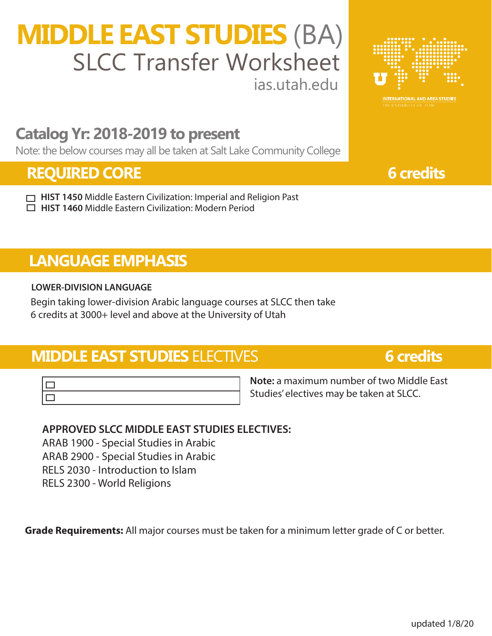# **MIDDLE EAST STUDIES** (BA) ias.utah.edu SLCC Transfer Worksheet



## **Catalog Yr: 2018-2019 to present**

Note: the below courses may all be taken at Salt Lake Community College

## **REQUIRED CORE 6** credits

**HIST 1450** Middle Eastern Civilization: Imperial and Religion Past **HIST 1460** Middle Eastern Civilization: Modern Period

## **LANGUAGE EMPHASIS**

### **LOWER-DIVISION LANGUAGE**

Begin taking lower-division Arabic language courses at SLCC then take 6 credits at 3000+ level and above at the University of Utah

## **MIDDLE EAST STUDIES** ELECTIVES **6 credits**

**Note:** a maximum number of two Middle East Studies' electives may be taken at SLCC.

### **APPROVED SLCC MIDDLE EAST STUDIES ELECTIVES:**

ARAB 1900 - Special Studies in Arabic ARAB 2900 - Special Studies in Arabic

RELS 2030 - Introduction to Islam

RELS 2300 - World Religions

**Grade Requirements:** All major courses must be taken for a minimum letter grade of C or better.